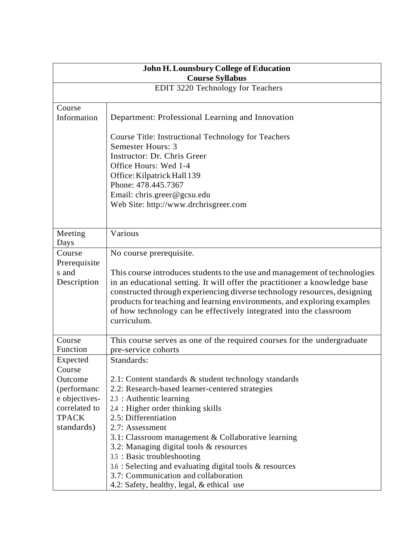| <b>John H. Lounsbury College of Education</b><br><b>Course Syllabus</b>                                                                                                                                                                                                                                                                                                                                                                                                 |  |  |
|-------------------------------------------------------------------------------------------------------------------------------------------------------------------------------------------------------------------------------------------------------------------------------------------------------------------------------------------------------------------------------------------------------------------------------------------------------------------------|--|--|
| EDIT 3220 Technology for Teachers                                                                                                                                                                                                                                                                                                                                                                                                                                       |  |  |
|                                                                                                                                                                                                                                                                                                                                                                                                                                                                         |  |  |
| Department: Professional Learning and Innovation                                                                                                                                                                                                                                                                                                                                                                                                                        |  |  |
| Course Title: Instructional Technology for Teachers<br>Semester Hours: 3<br>Instructor: Dr. Chris Greer<br>Office Hours: Wed 1-4<br>Office: Kilpatrick Hall 139<br>Phone: 478.445.7367<br>Email: chris.greer@gcsu.edu<br>Web Site: http://www.drchrisgreer.com                                                                                                                                                                                                          |  |  |
| Various                                                                                                                                                                                                                                                                                                                                                                                                                                                                 |  |  |
| No course prerequisite.<br>This course introduces students to the use and management of technologies<br>in an educational setting. It will offer the practitioner a knowledge base<br>constructed through experiencing diverse technology resources, designing<br>products for teaching and learning environments, and exploring examples<br>of how technology can be effectively integrated into the classroom<br>curriculum.                                          |  |  |
| This course serves as one of the required courses for the undergraduate<br>pre-service cohorts                                                                                                                                                                                                                                                                                                                                                                          |  |  |
| Standards:<br>2.1: Content standards & student technology standards<br>2.2: Research-based learner-centered strategies<br>2.3 : Authentic learning<br>2.4 : Higher order thinking skills<br>2.5: Differentiation<br>2.7: Assessment<br>3.1: Classroom management & Collaborative learning<br>3.2: Managing digital tools & resources<br>3.5 : Basic troubleshooting<br>3.6 : Selecting and evaluating digital tools & resources<br>3.7: Communication and collaboration |  |  |
|                                                                                                                                                                                                                                                                                                                                                                                                                                                                         |  |  |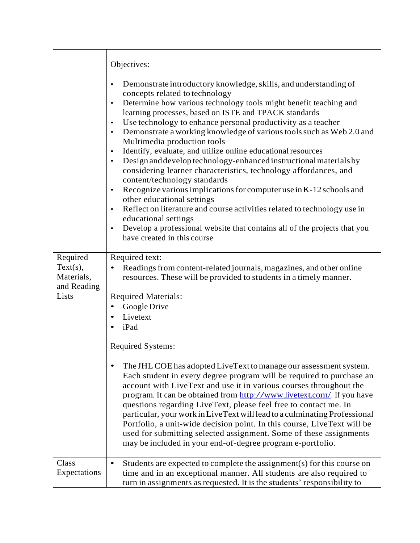|                                                | Objectives:                                                                                                                                                                                                                                                                                                                                                                                                                                                                                                                                                                                                                                                                                                                                                                                                                                                                                                                                                                                                                                        |
|------------------------------------------------|----------------------------------------------------------------------------------------------------------------------------------------------------------------------------------------------------------------------------------------------------------------------------------------------------------------------------------------------------------------------------------------------------------------------------------------------------------------------------------------------------------------------------------------------------------------------------------------------------------------------------------------------------------------------------------------------------------------------------------------------------------------------------------------------------------------------------------------------------------------------------------------------------------------------------------------------------------------------------------------------------------------------------------------------------|
|                                                | Demonstrate introductory knowledge, skills, and understanding of<br>٠<br>concepts related to technology<br>Determine how various technology tools might benefit teaching and<br>$\bullet$<br>learning processes, based on ISTE and TPACK standards<br>Use technology to enhance personal productivity as a teacher<br>٠<br>Demonstrate a working knowledge of various tools such as Web 2.0 and<br>٠<br>Multimedia production tools<br>Identify, evaluate, and utilize online educational resources<br>$\bullet$<br>Design and develop technology-enhanced instructional materials by<br>$\bullet$<br>considering learner characteristics, technology affordances, and<br>content/technology standards<br>Recognize various implications for computer use in K-12 schools and<br>٠<br>other educational settings<br>Reflect on literature and course activities related to technology use in<br>$\bullet$<br>educational settings<br>Develop a professional website that contains all of the projects that you<br>٠<br>have created in this course |
| Required                                       | Required text:                                                                                                                                                                                                                                                                                                                                                                                                                                                                                                                                                                                                                                                                                                                                                                                                                                                                                                                                                                                                                                     |
| Text(s),<br>Materials,<br>and Reading<br>Lists | Readings from content-related journals, magazines, and other online<br>resources. These will be provided to students in a timely manner.                                                                                                                                                                                                                                                                                                                                                                                                                                                                                                                                                                                                                                                                                                                                                                                                                                                                                                           |
|                                                | <b>Required Materials:</b>                                                                                                                                                                                                                                                                                                                                                                                                                                                                                                                                                                                                                                                                                                                                                                                                                                                                                                                                                                                                                         |
|                                                | Google Drive                                                                                                                                                                                                                                                                                                                                                                                                                                                                                                                                                                                                                                                                                                                                                                                                                                                                                                                                                                                                                                       |
|                                                | Livetext<br>iPad                                                                                                                                                                                                                                                                                                                                                                                                                                                                                                                                                                                                                                                                                                                                                                                                                                                                                                                                                                                                                                   |
|                                                |                                                                                                                                                                                                                                                                                                                                                                                                                                                                                                                                                                                                                                                                                                                                                                                                                                                                                                                                                                                                                                                    |
|                                                | <b>Required Systems:</b>                                                                                                                                                                                                                                                                                                                                                                                                                                                                                                                                                                                                                                                                                                                                                                                                                                                                                                                                                                                                                           |
|                                                | The JHL COE has adopted LiveText to manage our assessment system.<br>$\bullet$<br>Each student in every degree program will be required to purchase an<br>account with LiveText and use it in various courses throughout the<br>program. It can be obtained from http://www.livetext.com/. If you have<br>questions regarding LiveText, please feel free to contact me. In<br>particular, your work in LiveText will lead to a culminating Professional<br>Portfolio, a unit-wide decision point. In this course, LiveText will be<br>used for submitting selected assignment. Some of these assignments<br>may be included in your end-of-degree program e-portfolio.                                                                                                                                                                                                                                                                                                                                                                             |
| Class<br>Expectations                          | Students are expected to complete the assignment(s) for this course on<br>$\bullet$<br>time and in an exceptional manner. All students are also required to<br>turn in assignments as requested. It is the students' responsibility to                                                                                                                                                                                                                                                                                                                                                                                                                                                                                                                                                                                                                                                                                                                                                                                                             |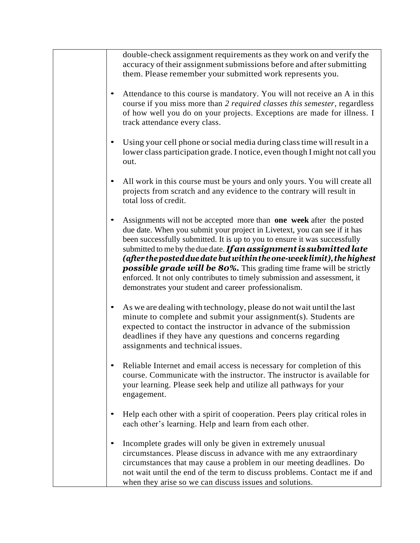double-check assignment requirements as they work on and verify the accuracy of their assignment submissions before and after submitting them. Please remember your submitted work represents you.

- Attendance to this course is mandatory. You will not receive an A in this course if you miss more than *2 required classes this semester*, regardless of how well you do on your projects. Exceptions are made for illness. I track attendance every class.
- Using your cell phone or social media during class time will result in a lower class participation grade. I notice, even though I might not call you out.
- All work in this course must be yours and only yours. You will create all projects from scratch and any evidence to the contrary will result in total loss of credit.
- Assignments will not be accepted more than **one week** after the posted due date. When you submit your project in Livetext, you can see if it has been successfully submitted. It is up to you to ensure it was successfully submitted to me by the due date. *Ifanassignment is submittedlate (after thepostedduedate butwithintheone-weeklimit), thehighest*  **possible grade will be 80%.** This grading time frame will be strictly enforced. It not only contributes to timely submission and assessment, it demonstrates your student and career professionalism.
- As we are dealing with technology, please do not wait until the last minute to complete and submit your assignment(s). Students are expected to contact the instructor in advance of the submission deadlines if they have any questions and concerns regarding assignments and technical issues.
- Reliable Internet and email access is necessary for completion of this course. Communicate with the instructor. The instructor is available for your learning. Please seek help and utilize all pathways for your engagement.
- Help each other with a spirit of cooperation. Peers play critical roles in each other's learning. Help and learn from each other.
- Incomplete grades will only be given in extremely unusual circumstances. Please discuss in advance with me any extraordinary circumstances that may cause a problem in our meeting deadlines. Do not wait until the end of the term to discuss problems. Contact me if and when they arise so we can discuss issues and solutions.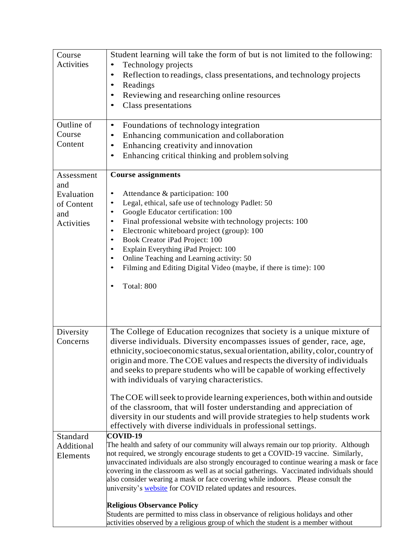| Course<br>Activities                                               | Student learning will take the form of but is not limited to the following:<br>Technology projects<br>Reflection to readings, class presentations, and technology projects<br>$\bullet$<br>Readings<br>٠<br>Reviewing and researching online resources<br>٠                                                                                                                                                                                                                                                                                                                                                                                                                                                                                           |
|--------------------------------------------------------------------|-------------------------------------------------------------------------------------------------------------------------------------------------------------------------------------------------------------------------------------------------------------------------------------------------------------------------------------------------------------------------------------------------------------------------------------------------------------------------------------------------------------------------------------------------------------------------------------------------------------------------------------------------------------------------------------------------------------------------------------------------------|
|                                                                    | <b>Class presentations</b>                                                                                                                                                                                                                                                                                                                                                                                                                                                                                                                                                                                                                                                                                                                            |
| Outline of<br>Course<br>Content                                    | Foundations of technology integration<br>$\bullet$<br>Enhancing communication and collaboration<br>$\bullet$<br>Enhancing creativity and innovation<br>٠<br>Enhancing critical thinking and problem solving                                                                                                                                                                                                                                                                                                                                                                                                                                                                                                                                           |
| Assessment<br>and<br>Evaluation<br>of Content<br>and<br>Activities | <b>Course assignments</b><br>Attendance & participation: 100<br>$\bullet$<br>Legal, ethical, safe use of technology Padlet: 50<br>٠<br>Google Educator certification: 100<br>$\bullet$<br>Final professional website with technology projects: 100<br>$\bullet$<br>Electronic whiteboard project (group): 100<br>٠<br>Book Creator iPad Project: 100<br>$\bullet$<br>Explain Everything iPad Project: 100<br>٠<br>Online Teaching and Learning activity: 50<br>٠<br>Filming and Editing Digital Video (maybe, if there is time): 100<br>٠<br>Total: 800                                                                                                                                                                                               |
| Diversity<br>Concerns                                              | The College of Education recognizes that society is a unique mixture of<br>diverse individuals. Diversity encompasses issues of gender, race, age,<br>ethnicity, socioeconomic status, sexual orientation, ability, color, country of<br>origin and more. The COE values and respects the diversity of individuals<br>and seeks to prepare students who will be capable of working effectively<br>with individuals of varying characteristics.<br>The COE will seek to provide learning experiences, both within and outside<br>of the classroom, that will foster understanding and appreciation of<br>diversity in our students and will provide strategies to help students work<br>effectively with diverse individuals in professional settings. |
| Standard<br>Additional<br>Elements                                 | COVID-19<br>The health and safety of our community will always remain our top priority. Although<br>not required, we strongly encourage students to get a COVID-19 vaccine. Similarly,<br>unvaccinated individuals are also strongly encouraged to continue wearing a mask or face<br>covering in the classroom as well as at social gatherings. Vaccinated individuals should<br>also consider wearing a mask or face covering while indoors. Please consult the<br>university's website for COVID related updates and resources.                                                                                                                                                                                                                    |
|                                                                    | <b>Religious Observance Policy</b><br>Students are permitted to miss class in observance of religious holidays and other<br>activities observed by a religious group of which the student is a member without                                                                                                                                                                                                                                                                                                                                                                                                                                                                                                                                         |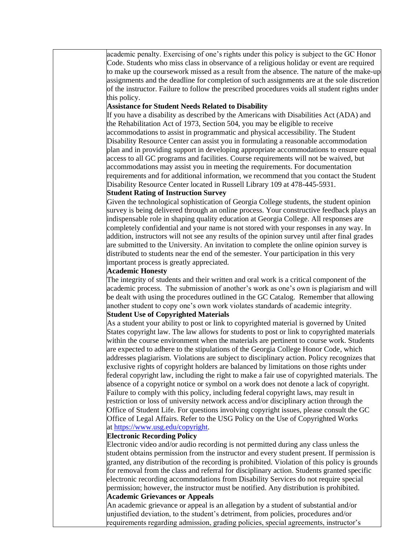academic penalty. Exercising of one's rights under this policy is subject to the GC Honor Code. Students who miss class in observance of a religious holiday or event are required to make up the coursework missed as a result from the absence. The nature of the make-up assignments and the deadline for completion of such assignments are at the sole discretion of the instructor. Failure to follow the prescribed procedures voids all student rights under this policy.

## **Assistance for Student Needs Related to Disability**

If you have a disability as described by the Americans with Disabilities Act (ADA) and the Rehabilitation Act of 1973, Section 504, you may be eligible to receive accommodations to assist in programmatic and physical accessibility. The Student Disability Resource Center can assist you in formulating a reasonable accommodation plan and in providing support in developing appropriate accommodations to ensure equal access to all GC programs and facilities. Course requirements will not be waived, but accommodations may assist you in meeting the requirements. For documentation requirements and for additional information, we recommend that you contact the Student Disability Resource Center located in Russell Library 109 at 478-445-5931.

## **Student Rating of Instruction Survey**

Given the technological sophistication of Georgia College students, the student opinion survey is being delivered through an online process. Your constructive feedback plays an indispensable role in shaping quality education at Georgia College. All responses are completely confidential and your name is not stored with your responses in any way. In addition, instructors will not see any results of the opinion survey until after final grades are submitted to the University. An invitation to complete the online opinion survey is distributed to students near the end of the semester. Your participation in this very important process is greatly appreciated.

## **Academic Honesty**

The integrity of students and their written and oral work is a critical component of the academic process. The submission of another's work as one's own is plagiarism and will be dealt with using the procedures outlined in the GC Catalog. Remember that allowing another student to copy one's own work violates standards of academic integrity. **Student Use of Copyrighted Materials**

As a student your ability to post or link to copyrighted material is governed by United States copyright law. The law allows for students to post or link to copyrighted materials within the course environment when the materials are pertinent to course work. Students are expected to adhere to the stipulations of the Georgia College Honor Code, which addresses plagiarism. Violations are subject to disciplinary action. Policy recognizes that exclusive rights of copyright holders are balanced by limitations on those rights under federal copyright law, including the right to make a fair use of copyrighted materials. The absence of a copyright notice or symbol on a work does not denote a lack of copyright. Failure to comply with this policy, including federal copyright laws, may result in restriction or loss of university network access and/or disciplinary action through the Office of Student Life. For questions involving copyright issues, please consult the GC Office of Legal Affairs. Refer to the USG Policy on the Use of Copyrighted Works at [https://www.usg.edu/copyright.](https://nam11.safelinks.protection.outlook.com/?url=https%3A%2F%2Fwww.usg.edu%2Fcopyright&data=02%7C01%7Cjohn.swinton%40gcsu.edu%7C09fca4d0967e40d8255008d8550fad3d%7Cbfd29cfa8e7142e69abc953a6d6f07d6%7C0%7C0%7C637352873113613786&sdata=VpiRuIKKVushbZ%2Bt3beINGvWLypr1iE5fDUdSj396ek%3D&reserved=0)

## **Electronic Recording Policy**

Electronic video and/or audio recording is not permitted during any class unless the student obtains permission from the instructor and every student present. If permission is granted, any distribution of the recording is prohibited. Violation of this policy is grounds for removal from the class and referral for disciplinary action. Students granted specific electronic recording accommodations from Disability Services do not require special permission; however, the instructor must be notified. Any distribution is prohibited. **Academic Grievances or Appeals**

An academic grievance or appeal is an allegation by a student of substantial and/or unjustified deviation, to the student's detriment, from policies, procedures and/or requirements regarding admission, grading policies, special agreements, instructor's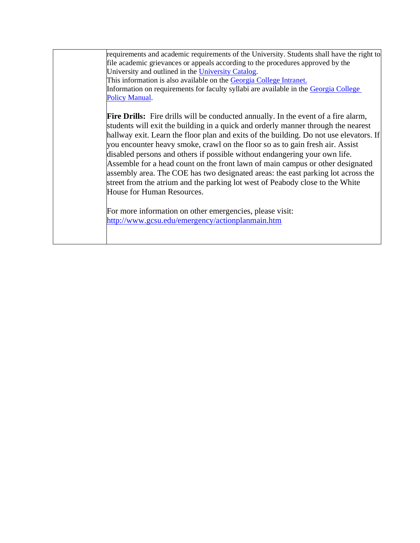requirements and academic requirements of the University. Students shall have the right to file academic grievances or appeals according to the procedures approved by the University and outlined in the [University Catalog.](http://gcsu.smartcatalogiq.com/en/current/Undergraduate-Catalog/Academic-Policies/Grievances/Academic-Grievances-or-Appeals) This information is also available on the [Georgia College Intranet.](https://intranet.gcsu.edu/common-syllabus-statements) Information on requirements for faculty syllabi are available in the Georgia College [Policy Manual.](http://gcsu.smartcatalogiq.com/en/Policy-Manual/Policy-Manual/Academic-Affairs/EmploymentPolicies-Procedures-Benefits/Faculty-Rights-and-Responsibilities/Faculty-Work-Requirements/Syllabus-Requirements) **Fire Drills:** Fire drills will be conducted annually. In the event of a fire alarm, students will exit the building in a quick and orderly manner through the nearest hallway exit. Learn the floor plan and exits of the building. Do not use elevators. If you encounter heavy smoke, crawl on the floor so as to gain fresh air. Assist disabled persons and others if possible without endangering your own life. Assemble for a head count on the front lawn of main campus or other designated assembly area. The COE has two designated areas: the east parking lot across the street from the atrium and the parking lot west of Peabody close to the White House for Human Resources. For more information on other emergencies, please visit: <http://www.gcsu.edu/emergency/actionplanmain.htm>